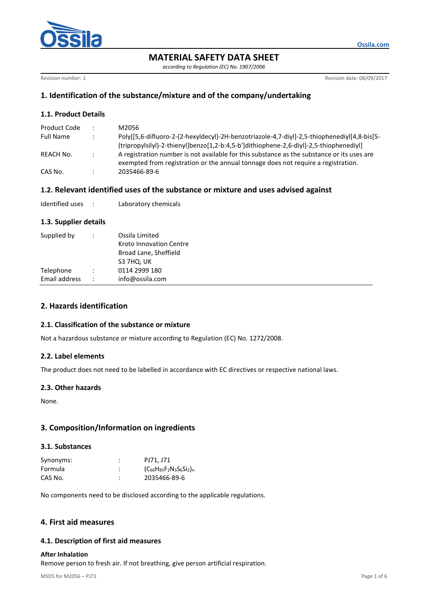

# **MATERIAL SAFETY DATA SHEET**

*according to Regulation (EC) No. 1907/2006*

Revision number: 1 **Revision date: 08/09/2017** 

# **1. Identification of the substance/mixture and of the company/undertaking**

## **1.1. Product Details**

| Product Code     |                | M2056                                                                                       |
|------------------|----------------|---------------------------------------------------------------------------------------------|
| <b>Full Name</b> |                | Poly[[5,6-difluoro-2-(2-hexyldecyl)-2H-benzotriazole-4,7-diyl]-2,5-thiophenediyl[4,8-bis[5- |
|                  |                | (tripropylsilyl)-2-thienyl]benzo[1,2-b:4,5-b']dithiophene-2,6-diyl]-2,5-thiophenediyl]      |
| REACH No.        | $\mathbb{R}^n$ | A registration number is not available for this substance as the substance or its uses are  |
|                  |                | exempted from registration or the annual tonnage does not require a registration.           |
| CAS No.          |                | 2035466-89-6                                                                                |

### **1.2. Relevant identified uses of the substance or mixture and uses advised against**

| Identified uses |  | Laboratory chemicals |
|-----------------|--|----------------------|
|-----------------|--|----------------------|

### **1.3. Supplier details**

| Supplied by                     | Ossila Limited<br>Kroto Innovation Centre<br>Broad Lane, Sheffield<br>S3 7HQ, UK |
|---------------------------------|----------------------------------------------------------------------------------|
| Telephone                       | 0114 2999 180                                                                    |
| Email address<br>$\ddot{\cdot}$ | info@ossila.com                                                                  |

# **2. Hazards identification**

### **2.1. Classification of the substance or mixture**

Not a hazardous substance or mixture according to Regulation (EC) No. 1272/2008.

### **2.2. Label elements**

The product does not need to be labelled in accordance with EC directives or respective national laws.

### **2.3. Other hazards**

None.

## **3. Composition/Information on ingredients**

### **3.1. Substances**

| Synonyms: | ٠ | PJ71, J71                       |
|-----------|---|---------------------------------|
| Formula   | ٠ | $(C_{66}H_{85}F_2N_3S_6Si_2)_n$ |
| CAS No.   |   | 2035466-89-6                    |

No components need to be disclosed according to the applicable regulations.

## **4. First aid measures**

### **4.1. Description of first aid measures**

#### **After Inhalation**

Remove person to fresh air. If not breathing, give person artificial respiration.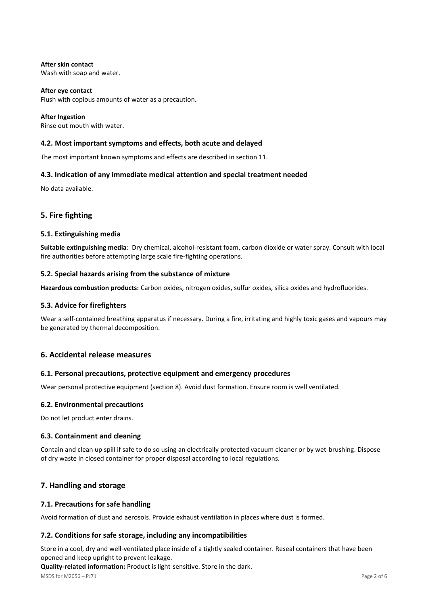**After skin contact** Wash with soap and water.

**After eye contact** Flush with copious amounts of water as a precaution.

**After Ingestion** Rinse out mouth with water.

### **4.2. Most important symptoms and effects, both acute and delayed**

The most important known symptoms and effects are described in section 11.

### **4.3. Indication of any immediate medical attention and special treatment needed**

No data available.

## **5. Fire fighting**

### **5.1. Extinguishing media**

**Suitable extinguishing media**: Dry chemical, alcohol-resistant foam, carbon dioxide or water spray. Consult with local fire authorities before attempting large scale fire-fighting operations.

### **5.2. Special hazards arising from the substance of mixture**

**Hazardous combustion products:** Carbon oxides, nitrogen oxides, sulfur oxides, silica oxides and hydrofluorides.

### **5.3. Advice for firefighters**

Wear a self-contained breathing apparatus if necessary. During a fire, irritating and highly toxic gases and vapours may be generated by thermal decomposition.

### **6. Accidental release measures**

### **6.1. Personal precautions, protective equipment and emergency procedures**

Wear personal protective equipment (section 8). Avoid dust formation. Ensure room is well ventilated.

#### **6.2. Environmental precautions**

Do not let product enter drains.

### **6.3. Containment and cleaning**

Contain and clean up spill if safe to do so using an electrically protected vacuum cleaner or by wet-brushing. Dispose of dry waste in closed container for proper disposal according to local regulations.

## **7. Handling and storage**

### **7.1. Precautions for safe handling**

Avoid formation of dust and aerosols. Provide exhaust ventilation in places where dust is formed.

### **7.2. Conditions for safe storage, including any incompatibilities**

Store in a cool, dry and well-ventilated place inside of a tightly sealed container. Reseal containers that have been opened and keep upright to prevent leakage.

**Quality-related information:** Product is light-sensitive. Store in the dark.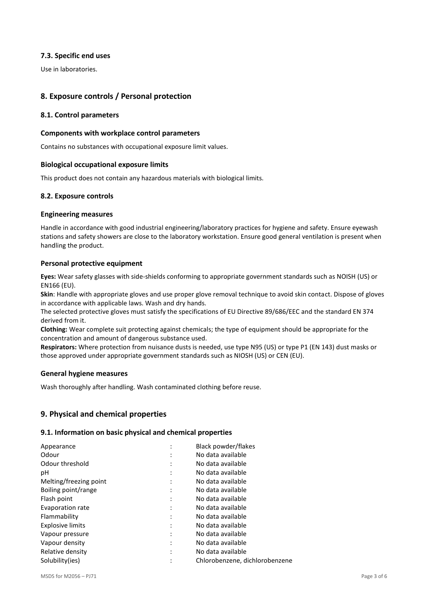### **7.3. Specific end uses**

Use in laboratories.

# **8. Exposure controls / Personal protection**

### **8.1. Control parameters**

### **Components with workplace control parameters**

Contains no substances with occupational exposure limit values.

### **Biological occupational exposure limits**

This product does not contain any hazardous materials with biological limits.

### **8.2. Exposure controls**

### **Engineering measures**

Handle in accordance with good industrial engineering/laboratory practices for hygiene and safety. Ensure eyewash stations and safety showers are close to the laboratory workstation. Ensure good general ventilation is present when handling the product.

### **Personal protective equipment**

**Eyes:** Wear safety glasses with side-shields conforming to appropriate government standards such as NOISH (US) or EN166 (EU).

**Skin**: Handle with appropriate gloves and use proper glove removal technique to avoid skin contact. Dispose of gloves in accordance with applicable laws. Wash and dry hands.

The selected protective gloves must satisfy the specifications of EU Directive 89/686/EEC and the standard EN 374 derived from it.

**Clothing:** Wear complete suit protecting against chemicals; the type of equipment should be appropriate for the concentration and amount of dangerous substance used.

**Respirators:** Where protection from nuisance dusts is needed, use type N95 (US) or type P1 (EN 143) dust masks or those approved under appropriate government standards such as NIOSH (US) or CEN (EU).

### **General hygiene measures**

Wash thoroughly after handling. Wash contaminated clothing before reuse.

## **9. Physical and chemical properties**

### **9.1. Information on basic physical and chemical properties**

| Appearance              | $\mathbf{r}$ | Black powder/flakes            |
|-------------------------|--------------|--------------------------------|
| Odour                   |              | No data available              |
| Odour threshold         |              | No data available              |
| рH                      |              | No data available              |
| Melting/freezing point  |              | No data available              |
| Boiling point/range     | $\cdot$      | No data available              |
| Flash point             |              | No data available              |
| Evaporation rate        |              | No data available              |
| Flammability            |              | No data available              |
| <b>Explosive limits</b> |              | No data available              |
| Vapour pressure         |              | No data available              |
| Vapour density          |              | No data available              |
| Relative density        |              | No data available              |
| Solubility(ies)         |              | Chlorobenzene, dichlorobenzene |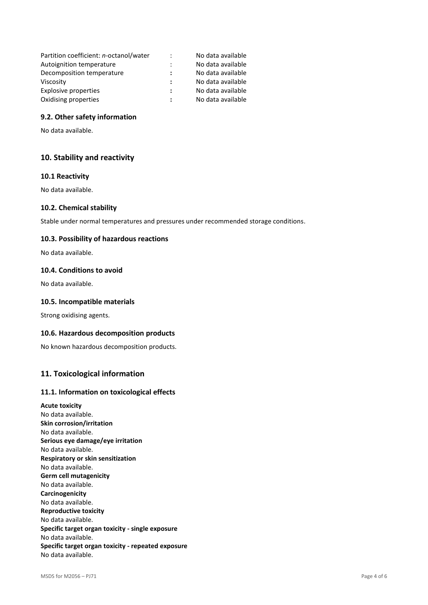| Partition coefficient: n-octanol/water | $\ddot{\cdot}$ | No data available |
|----------------------------------------|----------------|-------------------|
| Autoignition temperature               |                | No data available |
| Decomposition temperature              |                | No data available |
| Viscosity                              |                | No data available |
| Explosive properties                   | ÷              | No data available |
| Oxidising properties                   |                | No data available |

### **9.2. Other safety information**

No data available.

## **10. Stability and reactivity**

### **10.1 Reactivity**

No data available.

#### **10.2. Chemical stability**

Stable under normal temperatures and pressures under recommended storage conditions.

#### **10.3. Possibility of hazardous reactions**

No data available.

### **10.4. Conditions to avoid**

No data available.

#### **10.5. Incompatible materials**

Strong oxidising agents.

#### **10.6. Hazardous decomposition products**

No known hazardous decomposition products.

### **11. Toxicological information**

#### **11.1. Information on toxicological effects**

**Acute toxicity** No data available. **Skin corrosion/irritation** No data available. **Serious eye damage/eye irritation** No data available. **Respiratory or skin sensitization** No data available. **Germ cell mutagenicity** No data available. **Carcinogenicity** No data available. **Reproductive toxicity** No data available. **Specific target organ toxicity - single exposure** No data available. **Specific target organ toxicity - repeated exposure** No data available.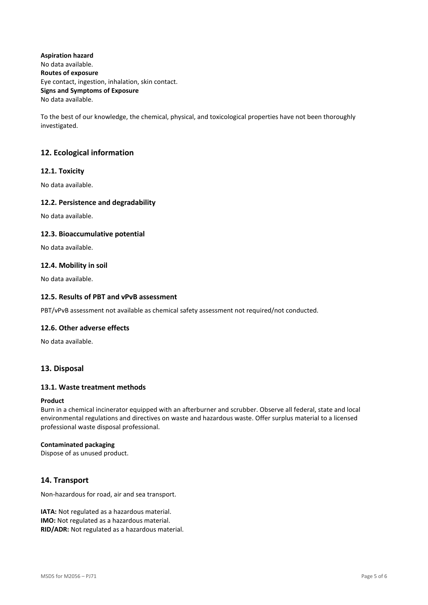**Aspiration hazard** No data available. **Routes of exposure** Eye contact, ingestion, inhalation, skin contact. **Signs and Symptoms of Exposure** No data available.

To the best of our knowledge, the chemical, physical, and toxicological properties have not been thoroughly investigated.

# **12. Ecological information**

### **12.1. Toxicity**

No data available.

### **12.2. Persistence and degradability**

No data available.

### **12.3. Bioaccumulative potential**

No data available.

### **12.4. Mobility in soil**

No data available.

### **12.5. Results of PBT and vPvB assessment**

PBT/vPvB assessment not available as chemical safety assessment not required/not conducted.

### **12.6. Other adverse effects**

No data available.

## **13. Disposal**

### **13.1. Waste treatment methods**

#### **Product**

Burn in a chemical incinerator equipped with an afterburner and scrubber. Observe all federal, state and local environmental regulations and directives on waste and hazardous waste. Offer surplus material to a licensed professional waste disposal professional.

#### **Contaminated packaging**

Dispose of as unused product.

## **14. Transport**

Non-hazardous for road, air and sea transport.

**IATA:** Not regulated as a hazardous material. **IMO:** Not regulated as a hazardous material. **RID/ADR:** Not regulated as a hazardous material.